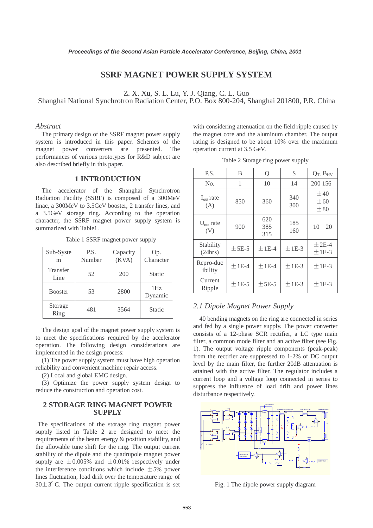# **SSRF MAGNET POWER SUPPLY SYSTEM**

Shanghai National Synchrotron Radiation Center, P.O. Box 800-204, Shanghai 201800, P.R. China

### *Abstract*

The primary design of the SSRF magnet power supply system is introduced in this paper. Schemes of the magnet power converters are presented. The performances of various prototypes for R&D subject are also described briefly in this paper.

#### **1 INTRODUCTION**

The accelerator of the Shanghai Synchrotron Radiation Facility (SSRF) is composed of a 300MeV linac, a 300MeV to 3.5GeV booster, 2 transfer lines, and a 3.5GeV storage ring. According to the operation character, the SSRF magnet power supply system is summarized with Table1.

| Sub-Syste<br>m   | P.S.<br>Number | Capacity<br>(KVA) | Op.<br>Character           |
|------------------|----------------|-------------------|----------------------------|
| Transfer<br>Line | 52             | 200               | <b>Static</b>              |
| <b>Booster</b>   | 53             | 2800              | 1H <sub>z</sub><br>Dynamic |
| Storage<br>Ring  | 481            | 3564              | <b>Static</b>              |

Table 1 SSRF magnet power supply

The design goal of the magnet power supply system is to meet the specifications required by the accelerator operation. The following design considerations are implemented in the design process:

(1) The power supply system must have high operation reliability and convenient machine repair access.

(2) Local and global EMC design.

(3) Optimize the power supply system design to reduce the construction and operation cost.

### **2 STORAGE RING MAGNET POWER SUPPLY**

The specifications of the storage ring magnet power supply listed in Table 2 are designed to meet the requirements of the beam energy & position stability, and the allowable tune shift for the ring. The output current stability of the dipole and the quadrupole magnet power supply are  $\pm 0.005\%$  and  $\pm 0.01\%$  respectively under the interference conditions which include  $\pm 5\%$  power lines fluctuation, load drift over the temperature range of  $30\pm3^{\circ}$  C. The output current ripple specification is set

Table 2 Storage ring power supply

|                                                                                                                                                                                                                                                  |                                                                                                                                                                                                                                                                                                                                                                                                                                                                                                                                                                                                                                                                                                                                                                                                                                                                                                                                      |                                             | Proceedings of the Second Asian Particle Accelerator Conference, Beijing, China, 2001                                                                                                                              |                                                                   |                                                                                                                                                                                                            |         |                   |                                   |                                                        |
|--------------------------------------------------------------------------------------------------------------------------------------------------------------------------------------------------------------------------------------------------|--------------------------------------------------------------------------------------------------------------------------------------------------------------------------------------------------------------------------------------------------------------------------------------------------------------------------------------------------------------------------------------------------------------------------------------------------------------------------------------------------------------------------------------------------------------------------------------------------------------------------------------------------------------------------------------------------------------------------------------------------------------------------------------------------------------------------------------------------------------------------------------------------------------------------------------|---------------------------------------------|--------------------------------------------------------------------------------------------------------------------------------------------------------------------------------------------------------------------|-------------------------------------------------------------------|------------------------------------------------------------------------------------------------------------------------------------------------------------------------------------------------------------|---------|-------------------|-----------------------------------|--------------------------------------------------------|
|                                                                                                                                                                                                                                                  |                                                                                                                                                                                                                                                                                                                                                                                                                                                                                                                                                                                                                                                                                                                                                                                                                                                                                                                                      |                                             | <b>SSRF MAGNET POWER SUPPLY SYSTEM</b>                                                                                                                                                                             |                                                                   |                                                                                                                                                                                                            |         |                   |                                   |                                                        |
|                                                                                                                                                                                                                                                  | Z. X. Xu, S. L. Lu, Y. J. Qiang, C. L. Guo<br>National Synchrotron Radiation Center, P.O. Box 800-204, Shanghai 201800, P.R. China                                                                                                                                                                                                                                                                                                                                                                                                                                                                                                                                                                                                                                                                                                                                                                                                   |                                             |                                                                                                                                                                                                                    |                                                                   |                                                                                                                                                                                                            |         |                   |                                   |                                                        |
| wer                                                                                                                                                                                                                                              | converters<br>d briefly in this paper.                                                                                                                                                                                                                                                                                                                                                                                                                                                                                                                                                                                                                                                                                                                                                                                                                                                                                               | are                                         | ry design of the SSRF magnet power supply<br>ntroduced in this paper. Schemes of the<br>presented.<br>The<br>of various prototypes for R&D subject are                                                             |                                                                   | with considering attenuation on the field ripple caused by<br>the magnet core and the aluminum chamber. The output<br>rating is designed to be about 10% over the maximum<br>operation current at 3.5 GeV. |         |                   | Table 2 Storage ring power supply |                                                        |
| <b>1 INTRODUCTION</b>                                                                                                                                                                                                                            |                                                                                                                                                                                                                                                                                                                                                                                                                                                                                                                                                                                                                                                                                                                                                                                                                                                                                                                                      |                                             |                                                                                                                                                                                                                    | P.S.                                                              | B                                                                                                                                                                                                          | Q       | S                 | $Q_T$ , $B_{HV}$                  |                                                        |
|                                                                                                                                                                                                                                                  |                                                                                                                                                                                                                                                                                                                                                                                                                                                                                                                                                                                                                                                                                                                                                                                                                                                                                                                                      |                                             |                                                                                                                                                                                                                    | No.                                                               | $\mathbf{1}$                                                                                                                                                                                               | 10      | 14                | 200 156                           |                                                        |
| elerator of the Shanghai<br>Synchrotron<br>icility (SSRF) is composed of a 300MeV<br>IeV to 3.5GeV booster, 2 transfer lines, and<br>torage ring. According to the operation                                                                     |                                                                                                                                                                                                                                                                                                                                                                                                                                                                                                                                                                                                                                                                                                                                                                                                                                                                                                                                      |                                             |                                                                                                                                                                                                                    | $I_{out}$ rate<br>(A)                                             | 850                                                                                                                                                                                                        | 360     | 340<br>300        | $\pm 40$<br>$\pm 60$<br>$\pm 80$  |                                                        |
|                                                                                                                                                                                                                                                  | with Table1.                                                                                                                                                                                                                                                                                                                                                                                                                                                                                                                                                                                                                                                                                                                                                                                                                                                                                                                         |                                             | e SSRF magnet power supply system is                                                                                                                                                                               |                                                                   | $U_{\text{out}}$ rate<br>(V)                                                                                                                                                                               | 900     | 620<br>385<br>315 | 185<br>160                        | 10<br>20                                               |
| e                                                                                                                                                                                                                                                | P.S.                                                                                                                                                                                                                                                                                                                                                                                                                                                                                                                                                                                                                                                                                                                                                                                                                                                                                                                                 | able 1 SSRF magnet power supply<br>Capacity | Op.                                                                                                                                                                                                                |                                                                   | Stability<br>(24hrs)                                                                                                                                                                                       | $±5E-5$ | $±$ 1E-4          | $±1E-3$                           | $±$ 2E-4<br>$±1E-3$                                    |
|                                                                                                                                                                                                                                                  | Number<br>52                                                                                                                                                                                                                                                                                                                                                                                                                                                                                                                                                                                                                                                                                                                                                                                                                                                                                                                         | (KVA)<br>200                                | Character<br>Static                                                                                                                                                                                                |                                                                   | Repro-duc<br>ibility                                                                                                                                                                                       | $±1E-4$ | $±$ 1E-4          | $±1E-3$                           | $±1E-3$                                                |
|                                                                                                                                                                                                                                                  | 53                                                                                                                                                                                                                                                                                                                                                                                                                                                                                                                                                                                                                                                                                                                                                                                                                                                                                                                                   | 2800                                        | 1Hz                                                                                                                                                                                                                |                                                                   | Current<br>Ripple                                                                                                                                                                                          | $±1E-5$ | $±5E-5$           | $±1E-3$                           | $±1E-3$                                                |
|                                                                                                                                                                                                                                                  | 481                                                                                                                                                                                                                                                                                                                                                                                                                                                                                                                                                                                                                                                                                                                                                                                                                                                                                                                                  | 3564                                        | Dynamic<br>Static                                                                                                                                                                                                  |                                                                   | 2.1 Dipole Magnet Power Supply                                                                                                                                                                             |         |                   |                                   | 40 bending magnets on the ring are connected in series |
|                                                                                                                                                                                                                                                  | and fed by a single power supply. The power converter<br>i goal of the magnet power supply system is<br>consists of a 12-phase SCR rectifier, a LC type main<br>specifications required by the accelerator<br>filter, a common mode filter and an active filter (see Fig.<br>The following design considerations are<br>1). The output voltage ripple components (peak-peak)<br>in the design process:<br>from the rectifier are suppressed to 1-2% of DC output<br>wer supply system must have high operation<br>level by the main filter, the further 20dB attenuation is<br>d convenient machine repair access.<br>attained with the active filter. The regulator includes a<br>and global EMC design.<br>current loop and a voltage loop connected in series to<br>ize the power supply system design to<br>suppress the influence of load drift and power lines<br>instruction and operation cost.<br>disturbance respectively. |                                             |                                                                                                                                                                                                                    |                                                                   |                                                                                                                                                                                                            |         |                   |                                   |                                                        |
|                                                                                                                                                                                                                                                  |                                                                                                                                                                                                                                                                                                                                                                                                                                                                                                                                                                                                                                                                                                                                                                                                                                                                                                                                      | <b>SUPPLY</b>                               | <b>AGE RING MAGNET POWER</b><br>cations of the storage ring magnet power<br>1 in Table 2 are designed to meet the<br>of the beam energy & position stability, and<br>e tune shift for the ring. The output current |                                                                   |                                                                                                                                                                                                            |         |                   |                                   |                                                        |
| ne dipole and the quadrupole magnet power<br>$\pm 0.005\%$ and $\pm 0.01\%$ respectively under<br>nce conditions which include $\pm 5\%$ power<br>ion, load drift over the temperature range of<br>ne output current ripple specification is set |                                                                                                                                                                                                                                                                                                                                                                                                                                                                                                                                                                                                                                                                                                                                                                                                                                                                                                                                      |                                             |                                                                                                                                                                                                                    | DIGITALSO<br>16 BIT DAC<br>Fig. 1 The dipole power supply diagram |                                                                                                                                                                                                            |         |                   |                                   |                                                        |
|                                                                                                                                                                                                                                                  |                                                                                                                                                                                                                                                                                                                                                                                                                                                                                                                                                                                                                                                                                                                                                                                                                                                                                                                                      |                                             |                                                                                                                                                                                                                    | 553                                                               |                                                                                                                                                                                                            |         |                   |                                   |                                                        |

#### *2.1 Dipole Magnet Power Supply*



Fig. 1 The dipole power supply diagram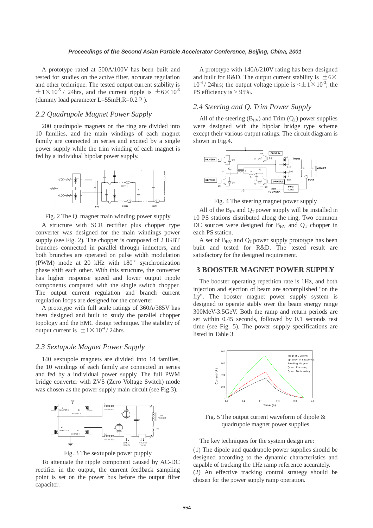A prototype rated at 500A/100V has been built and tested for studies on the active filter, accurate regulation and other technique. The tested output current stability is  $\pm 1\times10^{-5}$  / 24hrs, and the current ripple is  $\pm 6\times10^{-6}$ (dummy load parameter L=55mH,R= $0.2 \Omega$ ).

# *2.2 Quadrupole Magnet Power Supply*

200 quadrupole magnets on the ring are divided into 10 families, and the main windings of each magnet family are connected in series and excited by a single power supply while the trim winding of each magnet is fed by a individual bipolar power supply.



Fig. 2 The Q. magnet main winding power supply

A structure with SCR rectifier plus chopper type converter was designed for the main windings power supply (see Fig. 2). The chopper is composed of 2 IGBT branches connected in parallel through inductors, and both brunches are operated on pulse width modulation (PWM) mode at 20 kHz with 180° synchronization phase shift each other. With this structure, the converter has higher response speed and lower output ripple components compared with the single switch chopper. The output current regulation and branch current regulation loops are designed for the converter. **Proceedings of the Second Asian Particle Accelerator Conference, Beijing, China, 2001**<br>
then on the selection the second as both Conference accelerator and both China, and the Second Asian Particle and Acceleration and S

A prototype with full scale ratings of 360A/385V has been designed and built to study the parallel chopper topology and the EMC design technique. The stability of output current is  $\pm 1 \times 10^{-4}$  / 24hrs.

### *2.3 Sextupole Magnet Power Supply*

140 sextupole magnets are divided into 14 families, the 10 windings of each family are connected in series and fed by a individual power supply. The full PWM bridge converter with ZVS (Zero Voltage Switch) mode was chosen as the power supply main circuit (see Fig.3).



Fig. 3 The sextupole power pupply

To attenuate the ripple component caused by AC-DC rectifier in the output, the current feedback sampling point is set on the power bus before the output filter capacitor.

A prototype with 140A/210V rating has been designed and built for R&D. The output current stability is  $\pm 6\times$  $10^{-4}$  / 24hrs; the output voltage ripple is  $\lt \pm 1 \times 10^{-3}$ ; the PS efficiency is > 95%.

### *2.4 Steering and Q. Trim Power Supply*

All of the steering  $(B_{HV})$  and Trim  $(Q_T)$  power supplies were designed with the bipolar bridge type scheme except their various output ratings. The circuit diagram is shown in Fig.4.



Fig. 4 The steering magnet power supply

All of the  $B_{HV}$  and  $Q_T$  power supply will be installed in 10 PS stations distributed along the ring, Two common DC sources were designed for  $B_{HV}$  and  $Q_T$  chopper in each PS station.

A set of  $B_{HV}$  and  $Q_T$  power supply prototype has been built and tested for R&D. The tested result are satisfactory for the designed requirement.

#### **3 BOOSTER MAGNET POWER SUPPLY**

The booster operating repetition rate is 1Hz, and both injection and ejection of beam are accomplished "on the fly". The booster magnet power supply system is designed to operate stably over the beam energy range 300MeV-3.5GeV. Both the ramp and return periods are set within 0.45 seconds, followed by 0.1 seconds rest time (see Fig. 5). The power supply specifications are listed in Table 3.



Fig. 5 The output current waveform of dipole & quadrupole magnet power supplies

The key techniques for the system design are:

(1) The dipole and quadrupole power supplies should be designed according to the dynamic characteristics and capable of tracking the 1Hz ramp reference accurately. (2) An effective tracking control strategy should be chosen for the power supply ramp operation.